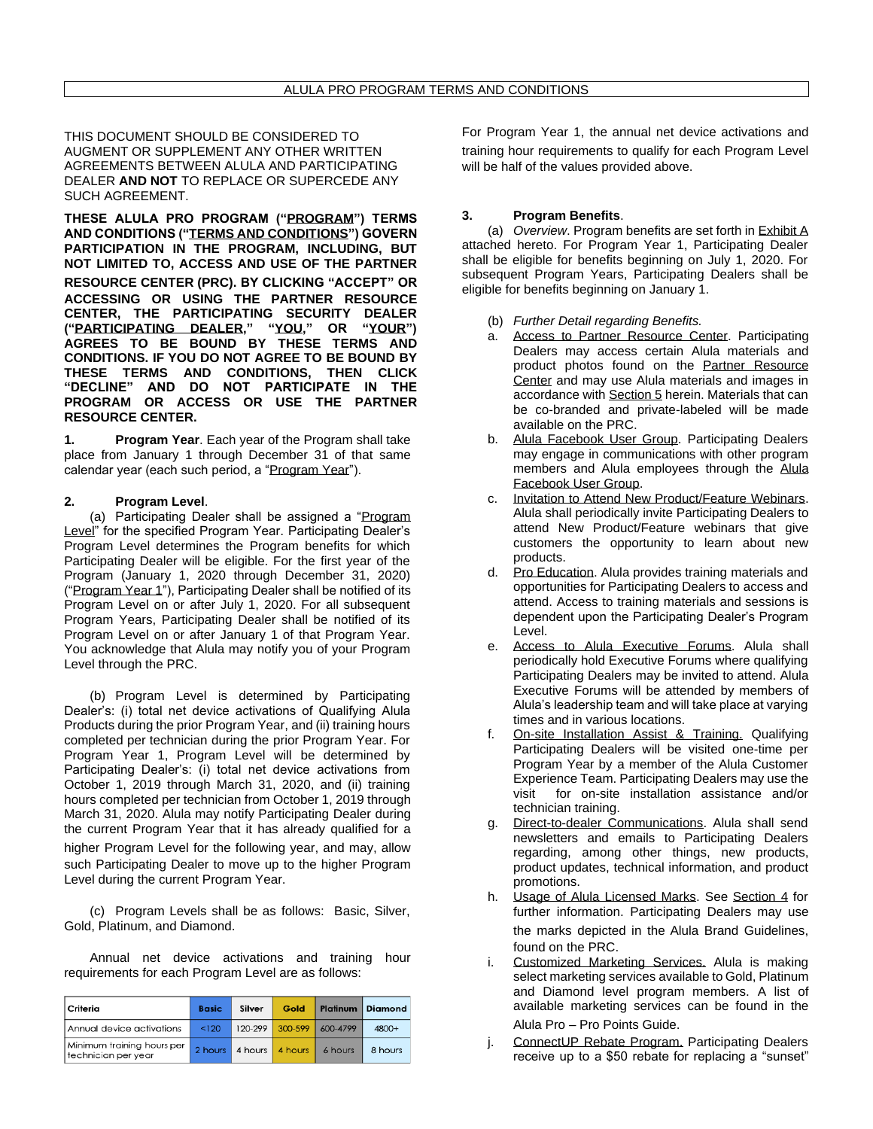THIS DOCUMENT SHOULD BE CONSIDERED TO AUGMENT OR SUPPLEMENT ANY OTHER WRITTEN AGREEMENTS BETWEEN ALULA AND PARTICIPATING DEALER **AND NOT** TO REPLACE OR SUPERCEDE ANY SUCH AGREEMENT.

**THESE ALULA PRO PROGRAM ("PROGRAM") TERMS AND CONDITIONS ("TERMS AND CONDITIONS") GOVERN PARTICIPATION IN THE PROGRAM, INCLUDING, BUT NOT LIMITED TO, ACCESS AND USE OF THE PARTNER RESOURCE CENTER (PRC). BY CLICKING "ACCEPT" OR ACCESSING OR USING THE PARTNER RESOURCE CENTER, THE PARTICIPATING SECURITY DEALER ("PARTICIPATING DEALER," "YOU," OR "YOUR") AGREES TO BE BOUND BY THESE TERMS AND CONDITIONS. IF YOU DO NOT AGREE TO BE BOUND BY THESE TERMS AND CONDITIONS, THEN CLICK "DECLINE" AND DO NOT PARTICIPATE IN THE PROGRAM OR ACCESS OR USE THE PARTNER RESOURCE CENTER.**

**Program Year.** Each year of the Program shall take place from January 1 through December 31 of that same calendar year (each such period, a "Program Year").

## **2. Program Level**.

(a) Participating Dealer shall be assigned a "Program Level" for the specified Program Year. Participating Dealer's Program Level determines the Program benefits for which Participating Dealer will be eligible. For the first year of the Program (January 1, 2020 through December 31, 2020) ("Program Year 1"), Participating Dealer shall be notified of its Program Level on or after July 1, 2020. For all subsequent Program Years, Participating Dealer shall be notified of its Program Level on or after January 1 of that Program Year. You acknowledge that Alula may notify you of your Program Level through the PRC.

(b) Program Level is determined by Participating Dealer's: (i) total net device activations of Qualifying Alula Products during the prior Program Year, and (ii) training hours completed per technician during the prior Program Year. For Program Year 1, Program Level will be determined by Participating Dealer's: (i) total net device activations from October 1, 2019 through March 31, 2020, and (ii) training hours completed per technician from October 1, 2019 through March 31, 2020. Alula may notify Participating Dealer during the current Program Year that it has already qualified for a higher Program Level for the following year, and may, allow such Participating Dealer to move up to the higher Program Level during the current Program Year.

(c) Program Levels shall be as follows: Basic, Silver, Gold, Platinum, and Diamond.

Annual net device activations and training hour requirements for each Program Level are as follows:

| Criteria                                          | <b>Basic</b> | Silver  | Gold    | Platinum | <b>Diamond</b> |
|---------------------------------------------------|--------------|---------|---------|----------|----------------|
| Annual device activations                         | < 120        | 120-299 | 300-599 | 600-4799 | 4800+          |
| Minimum training hours per<br>technician per year | 2 hours      | 4 hours | 4 hours | 6 hours  | 8 hours        |

For Program Year 1, the annual net device activations and training hour requirements to qualify for each Program Level will be half of the values provided above.

## **3. Program Benefits**.

(a) *Overview*. Program benefits are set forth in Exhibit A attached hereto. For Program Year 1, Participating Dealer shall be eligible for benefits beginning on July 1, 2020. For subsequent Program Years, Participating Dealers shall be eligible for benefits beginning on January 1.

- (b) *Further Detail regarding Benefits.*
- a. Access to Partner Resource Center. Participating Dealers may access certain Alula materials and product photos found on the [Partner Resource](https://partner.alula.com/)  [Center](https://partner.alula.com/) and may use Alula materials and images in accordance with Section 5 herein. Materials that can be co-branded and private-labeled will be made available on the PRC.
- b. Alula Facebook User Group. Participating Dealers may engage in communications with other program members and Alula employees through the [Alula](https://www.facebook.com/groups/311552422720577)  [Facebook User Group.](https://www.facebook.com/groups/311552422720577)
- c. Invitation to Attend New Product/Feature Webinars. Alula shall periodically invite Participating Dealers to attend New Product/Feature webinars that give customers the opportunity to learn about new products.
- d. Pro Education. Alula provides training materials and opportunities for Participating Dealers to access and attend. Access to training materials and sessions is dependent upon the Participating Dealer's Program Level.
- e. Access to Alula Executive Forums. Alula shall periodically hold Executive Forums where qualifying Participating Dealers may be invited to attend. Alula Executive Forums will be attended by members of Alula's leadership team and will take place at varying times and in various locations.
- f. On-site Installation Assist & Training. Qualifying Participating Dealers will be visited one-time per Program Year by a member of the Alula Customer Experience Team. Participating Dealers may use the visit for on-site installation assistance and/or technician training.
- g. Direct-to-dealer Communications. Alula shall send newsletters and emails to Participating Dealers regarding, among other things, new products, product updates, technical information, and product promotions.
- h. Usage of Alula Licensed Marks. See Section 4 for further information. Participating Dealers may use the marks depicted in the Alula Brand Guidelines, found on the PRC.
- i. Customized Marketing Services. Alula is making select marketing services available to Gold, Platinum and Diamond level program members. A list of available marketing services can be found in the

Alula Pro – Pro Points Guide.

ConnectUP Rebate Program. Participating Dealers receive up to a \$50 rebate for replacing a "sunset"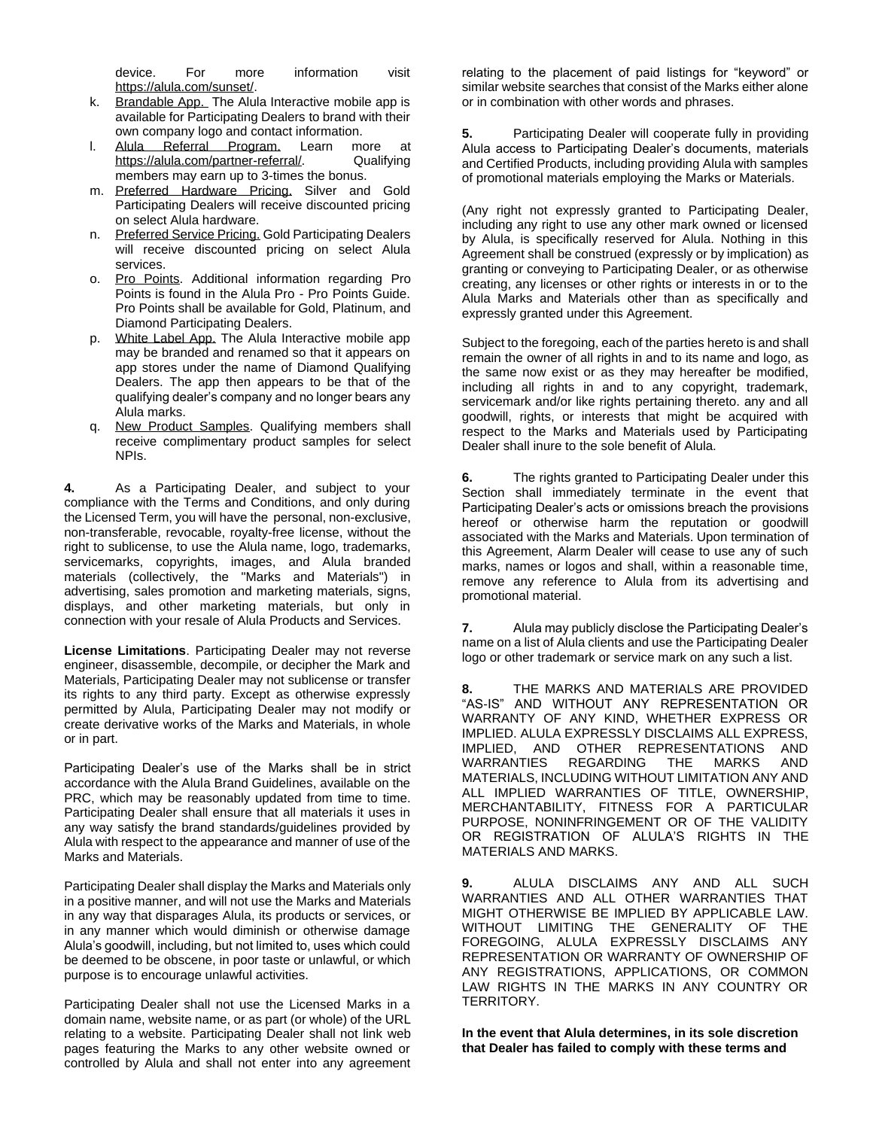device. For more information visit [https://alula.com/sunset/.](https://alula.com/sunset/)

- k. Brandable App. The Alula Interactive mobile app is available for Participating Dealers to brand with their own company logo and contact information.
- l. Alula Referral Program. Learn more at [https://alula.com/partner-referral/.](https://alula.com/partner-referral/) Qualifying members may earn up to 3-times the bonus.
- m. Preferred Hardware Pricing. Silver and Gold Participating Dealers will receive discounted pricing on select Alula hardware.
- n. Preferred Service Pricing. Gold Participating Dealers will receive discounted pricing on select Alula services.
- o. Pro Points. Additional information regarding Pro Points is found in the Alula Pro - Pro Points Guide. Pro Points shall be available for Gold, Platinum, and Diamond Participating Dealers.
- p. White Label App. The Alula Interactive mobile app may be branded and renamed so that it appears on app stores under the name of Diamond Qualifying Dealers. The app then appears to be that of the qualifying dealer's company and no longer bears any Alula marks.
- q. New Product Samples. Qualifying members shall receive complimentary product samples for select NPIs.

**4.** As a Participating Dealer, and subject to your compliance with the Terms and Conditions, and only during the Licensed Term, you will have the personal, non-exclusive, non-transferable, revocable, royalty-free license, without the right to sublicense, to use the Alula name, logo, trademarks, servicemarks, copyrights, images, and Alula branded materials (collectively, the "Marks and Materials") in advertising, sales promotion and marketing materials, signs, displays, and other marketing materials, but only in connection with your resale of Alula Products and Services.

**License Limitations**. Participating Dealer may not reverse engineer, disassemble, decompile, or decipher the Mark and Materials, Participating Dealer may not sublicense or transfer its rights to any third party. Except as otherwise expressly permitted by Alula, Participating Dealer may not modify or create derivative works of the Marks and Materials, in whole or in part.

Participating Dealer's use of the Marks shall be in strict accordance with the Alula Brand Guidelines, available on the PRC, which may be reasonably updated from time to time. Participating Dealer shall ensure that all materials it uses in any way satisfy the brand standards/guidelines provided by Alula with respect to the appearance and manner of use of the Marks and Materials.

Participating Dealer shall display the Marks and Materials only in a positive manner, and will not use the Marks and Materials in any way that disparages Alula, its products or services, or in any manner which would diminish or otherwise damage Alula's goodwill, including, but not limited to, uses which could be deemed to be obscene, in poor taste or unlawful, or which purpose is to encourage unlawful activities.

Participating Dealer shall not use the Licensed Marks in a domain name, website name, or as part (or whole) of the URL relating to a website. Participating Dealer shall not link web pages featuring the Marks to any other website owned or controlled by Alula and shall not enter into any agreement

relating to the placement of paid listings for "keyword" or similar website searches that consist of the Marks either alone or in combination with other words and phrases.

**5.** Participating Dealer will cooperate fully in providing Alula access to Participating Dealer's documents, materials and Certified Products, including providing Alula with samples of promotional materials employing the Marks or Materials.

(Any right not expressly granted to Participating Dealer, including any right to use any other mark owned or licensed by Alula, is specifically reserved for Alula. Nothing in this Agreement shall be construed (expressly or by implication) as granting or conveying to Participating Dealer, or as otherwise creating, any licenses or other rights or interests in or to the Alula Marks and Materials other than as specifically and expressly granted under this Agreement.

Subject to the foregoing, each of the parties hereto is and shall remain the owner of all rights in and to its name and logo, as the same now exist or as they may hereafter be modified, including all rights in and to any copyright, trademark, servicemark and/or like rights pertaining thereto. any and all goodwill, rights, or interests that might be acquired with respect to the Marks and Materials used by Participating Dealer shall inure to the sole benefit of Alula.

**6.** The rights granted to Participating Dealer under this Section shall immediately terminate in the event that Participating Dealer's acts or omissions breach the provisions hereof or otherwise harm the reputation or goodwill associated with the Marks and Materials. Upon termination of this Agreement, Alarm Dealer will cease to use any of such marks, names or logos and shall, within a reasonable time, remove any reference to Alula from its advertising and promotional material.

**7.** Alula may publicly disclose the Participating Dealer's name on a list of Alula clients and use the Participating Dealer logo or other trademark or service mark on any such a list.

**8.** THE MARKS AND MATERIALS ARE PROVIDED "AS-IS" AND WITHOUT ANY REPRESENTATION OR WARRANTY OF ANY KIND, WHETHER EXPRESS OR IMPLIED. ALULA EXPRESSLY DISCLAIMS ALL EXPRESS, IMPLIED, AND OTHER REPRESENTATIONS AND WARRANTIES REGARDING THE MARKS AND MATERIALS, INCLUDING WITHOUT LIMITATION ANY AND ALL IMPLIED WARRANTIES OF TITLE, OWNERSHIP, MERCHANTABILITY, FITNESS FOR A PARTICULAR PURPOSE, NONINFRINGEMENT OR OF THE VALIDITY OR REGISTRATION OF ALULA'S RIGHTS IN THE MATERIALS AND MARKS.

**9.** ALULA DISCLAIMS ANY AND ALL SUCH WARRANTIES AND ALL OTHER WARRANTIES THAT MIGHT OTHERWISE BE IMPLIED BY APPLICABLE LAW. WITHOUT LIMITING THE GENERALITY OF THE FOREGOING, ALULA EXPRESSLY DISCLAIMS ANY REPRESENTATION OR WARRANTY OF OWNERSHIP OF ANY REGISTRATIONS, APPLICATIONS, OR COMMON LAW RIGHTS IN THE MARKS IN ANY COUNTRY OR TERRITORY.

**In the event that Alula determines, in its sole discretion that Dealer has failed to comply with these terms and**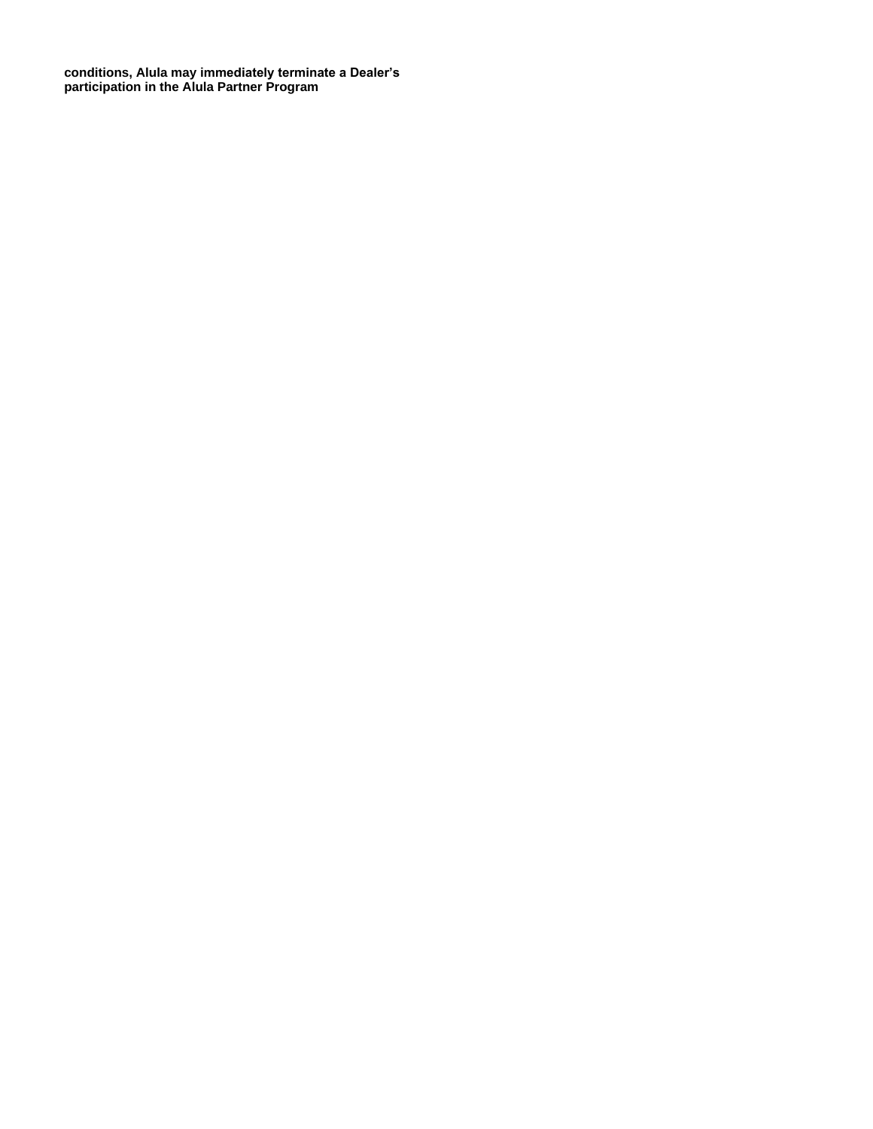**conditions, Alula may immediately terminate a Dealer's participation in the Alula Partner Program**